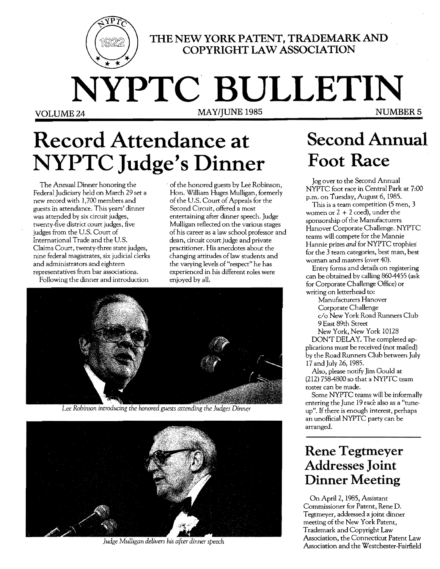

THE NEW YORK PATENT, TRADEMARK AND **COPYRIGHT LAW ASSOCIATION** 

**NYPTC BULLETIN VOLUME 24 MAY/JUNE 1985** 

# **Record Attendance at NYPTC Judge's Dinner**

The Annual Dinner honoring the Federal Judiciary held on March 29 set a new record with 1,700 members and guests in attendance. This years' dinner was attended by six circuit judges, twenty-five district court judges, five judges from the U.S. Court of International Trade and the U.S. Claims Court, twenty-three state judges, nine federal magistrates, six judicial clerks and administrators and eighteen representatives from bar associations.

Following the dinner and introduction

of the honored guests by Lee Robinson, Hon. William Huges Mulligan, formerly of the U.S. Court of Appeals for the Second Circuit, offered a most entertaining after dinner speech. Judge Mulligan reflected on the various stages of his career as a law school professor and dean, circuit court judge and private practitioner. His anecdotes about the changing attitudes of law students and the varying levels of "respect" he has experienced in his different roles were enjoyed by all.



Lee Robinson introducing the honored guests attending the Judges Dinner



Judge Mulligan delivers his after dinner speech

## **Second Annual Foot Race**

Jog over to the Second Annual *NYPTC* foot race in Central Park at 7:00 p.m. on Tuesday, August 6, 1985.

This is a team competition (5 men, 3 women or  $2 + 2 \cosh$ , under the sponsorship of the Manufacturers Hanover Corporate Challenge. *NYPTC*  teams will compete for the Mannie Hannie prizes *and* for NYPTC trophies' for the 3 team categories, best man, best woman and masters (over 40).

Entry forms and details on registering can be obtained by calling 860-4455 (ask for Corporate Challenge Office) or writing on letterhead to:

Manufacturers Hanover

Corporate Challenge

*c/o* New York Road Runners Club 9 East 89th Street

New York, New York 10128

DON'T DELAY. The completed applications must be received (not mailed) by the Road Runners Club between July 17 and July 26,1985.

Also, please notify Jim Gould at (212) 758-4800 so that a *NYPTC* team roster can be made.

Some NYPTC teams will be informally entering the June 19 race also as a "tuneup". If there is enough interest, perhaps an unofficial NYPTC party can be arranged.

### **Rene Tegtmeyer Addresses Joint Dinner Meeting**

On April 2, 1985, Assistant Commissioner for Patent, Rene D. Tegtmeyer, addressed a joint dinner meeting of the New York Patent, Trademark and Copyright Law Association, the Connecticut Patent Law Association and the Westchester-Fairfield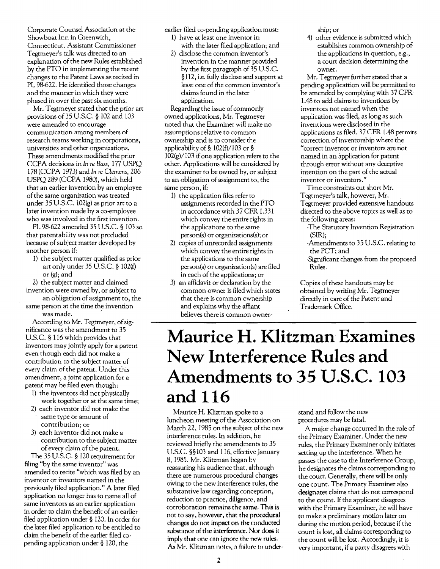Corporate Counsel Association at the Showboat Inn in Greenwich, Connecticut. Assistant Commissioner Tegtmeyer's talk was directed to an explanation of the new Rules established by the PTO in implementing the recent changes to the Patent Laws as recited in PL 98-622. He identified those changes and the manner in which they were phased in over the past six months.

Mr. Tegtmeyer stated that the prior art provisions of 35 U.S.C. § 102 and 103 were amended to encourage communication among members of research teams working in corporations, universities and other organizations. These amendments modified the prior CCPA decisions in In *re Bass,* 177 USPQ 178 (CCPA 1973) and In *re Clemens, 206*  USPQ 289 (CCPA 1980), which held that an earlier invention by an employee of the same organization was treated under 35 U.S.C.  $102(g)$  as prior art to a later invention made by a co-employee who was involved in the first invention.

PL 98-622 amended 35 U.S.C. § 103 so that patentability was not precluded because of subject matter developed by another person if:

1) the subject matter qualified as prior art only under 35 U.S.c. § 102(f) or (g); and

2) the subject matter and claimed invention were owned by, or subject to

an obligation of assignment to, the same person at the time the invention was made.

According to Mr. Tegtmeyer, of significance was the amendment to 35 U.S.C. § 116 which provides that inventors may jointly apply for a patent even though each did not make a contribution to the subject matter of every claim of the patent. Under this amendment, a joint application for a patent may be filed even though:

- 1) the inventors did not physically work together or at the same time;
- 2) each inventor did not make the same type or amount of contribution; or
- 3) each inventor did not make a contribution to the subject matter ofevery claim of the patent.

The 35 U.S.G. § 120 requirement for filing "by the same inventor" was amended to recite "which was filed by an inventor or inventors named in the previously filed application." A later filed application no longer has to name all of same inventors as an earlier application in order to claim the benefit of an earlier filed application under § 120. In order for the later filed application to be entitled to claim the benefit of the earlier filed copending application under § 120, the

earlier filed co-pending application must:

- 1) have at least one inventor in with the later filed application; and
- 2) disclose the common inventor's invention in the manner provided by the first paragraph of 35 U.S.C. §112, i.e. fully disclose and support at least one of the common inventor's claims found in the later application.

Regarding the issue of commonly owned applications, Mr. Tegtmeyer noted that the Examiner will make no assumptions relative to common ownership and is to consider the applicability of § 102(f)/103 or §  $102(g)/103$  if one application refers to the other. Applications will be considered by the examiner to be owned by, or subject to an obligation of assignment to, the same person, if:

- 1) the application files refer to assignments recorded in the PTO in accordance with 37 CFR 1.331 which convey the entire rights in the applications to the same person(s) or organizations(s); or
- 2) copies of unrecorded assignments which convey the entire rights in the applications to the same person(s) or organization(s) are filed in each of the applications; or
- 3) an affidavit or declaration by the common owner is filed which states that there is common ownership and explains why the affiant believes there is common owner-

ship; or

4) other evidence is submitted which establishes common ownership of the applications in question, e.g., a court decision determining the owner.

Mr. Tegtmeyer further stated that a pending applicattion will be permitted to be amended by complying with 37 CFR 1.48 to add claims to inventions by inventors not named when the application was filed, as long as such inventions were disclosed in the applications as filed. 37 CFR 1.48 permits correction of inventorship where the "correct inventor or inventors are not named in an application for patent through error without any deceptive intention on the part of the actual inventor or inventors."

Time constraints cut short Mr. Tegtmeyer's talk, however, Mr. Tegtmeyer provided extensive handouts directed to the above topics as well as to the following areas;

- -The Statutory Invention Registration (SIR);
- -Amendments to 35 U.S.c. relating to thePCT; and
- -Significant changes from the proposed Rules.

Copies of these handouts may be obtained by writing Mr. Tegtmeyer directly in care of the Patent and Trademark Office.

### **Maurice H. Klitzman Examines New Interference Rules and Amendments to 35 U.S.C. 103 and 116**

Maurice H. Kliztman spoke to a luncheon meeting of the Association on March 22, 1985 on the subject of the new interference rules. In addition, he reviewed briefly the amendments to 35 U.S.c. §§103 and 116, effective January 8, 1985. Mr. Klitzman began by reassuring his audience that, although there are numerous procedural changes owing to the new interference rules, the substantive law regarding conception, reduction to practice, diligence, and corroboration remains the same. This is not to say, however, that the procedural changes do not impact on the conducted substance of the interference. Nor does it imply that one can ignore the new rules. As Mr. Klitzman notes, a failure to under-

stand and follow the new procedures may be fatal.

A major change occurred in the role of the Primary Examiner. Under the new rules, the Primary Examiner only initiates setting up the interference. When he passes the case to the Interference Group, he designates the claims corresponding to the court. Generally, there will be only one count. The Primary Examiner also designates claims that do not correspond to the count. If the applicant disagrees with the Primary Examiner, he will have to make a preliminary motion later on during the motion period, because if the count is lost, all claims corresponding to the count **will** be lost. Accordingly, it is very important, if a party disagrees with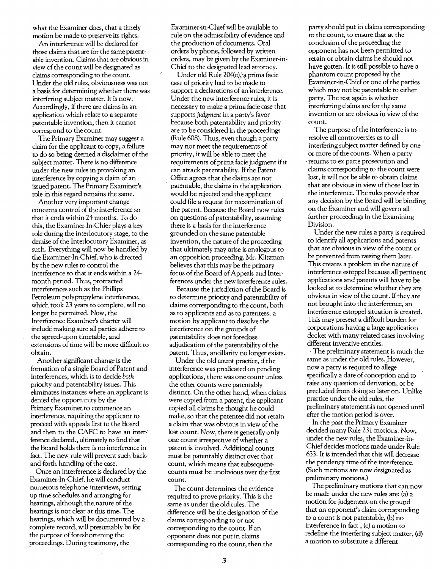what the Examiner does, that a timely motion be made to preserve its rights.

An interference will be declared for those claims that are for the same patentable invention. Claims that are obvious in view of the count will be designated as claims corresponding to the count. Under the old rules, obviousness was not a basis for determining whether there was interfering subject matter. It is now. Accordingly, if there are claims in an application which relate to a separate patentable invention, then it cannot correspond to the count.

The Primary Examiner may suggest a claim for the applicant to copy, a failure to do so being deemed a disclaimer of the subject matter. There is no difference under the new rules in provoking an interference by copying a claim of an issued patent. The Primary Examiner's role in this regard remains the same.

Another very important change concerns control of the interference so that it ends within 24 months. To do this, the Examiner-In-Chier plays a key role during the interlocutory stage, to the demise of the Interlocutory Examiner, as such. Everything will now be handled by the Examiner-In-Chief, who is directed by the new rules to control the interference so that it ends within a 24 month period. Thus, protracted interferences such as the Phillips Petroleum polypropylene interference, which took 23 years to complete, will no longer be permitted. Now, the Interference Examiner's charter will include making sure all parties adhere to the agreed-upon timetable, and extensions of time will be more difficult to obtain.

Another significant change is the formation of a single Board of Patent and Interferences, which is to decide *both*  priority and patentability issues. This eliminates instances where an applicant is denied the opportunity by the Primary Examiner to commence an interference, requiring the applicant to proceed with appeals first to the Board and then to the CAFC to have an interference declared., ultimately to find that the Board holds there is no interference in fact. The new rule will prevent such backand-forth handling of the case.

Once an interference is declared by the Examiner-In-Chief, he will conduct numerous telephone interviews, setting up time schedules and arranging for hearings, although the nature of the hearings is not clear at this time. The hearings, which will be documented by a complete record, will presumably be for the purpose of foreshortening the proceedings. During testimony, the

Examiner-in-Chief will be available to rule on the admissibility of evidence and the production of documents. Oral orders by phone, followed by written orders, may be given by the Examiner-in-Chief to the designated lead attorney.

Under old Rule 204(c),\a prima facie case of priority had to be made to support a declarations of an interference. Under the new interference rules, it is necessary to make a prima facie case that supports *judgment* in a party's favor because both patentability and priority are to be considered in the proceedings (Rule 608). Thus, even though a party may not meet the requirements of priority, it will be able to meet the requirements of prima facie judgment if it can attack patentability. If the Patent Office agrees that the claims are not . patentable, the claims in the application would be rejected and the applicant could file a request for reexamination of the patent. Because the Board now rules on questions of patentability, assuming there is a basis for the interference grounded on the same patentable invention, the nature of the proceeding that ultimately may arise is analogous to im opposition proceeding. Mr. Klitzman believes that this may be the primary focus of the Board of Appeals and Interferences under the new interference rules.

Because the jurisdiction of the Board is to determine priority and patentability of claims corresponding to the count, both as to applicants and as to patentees, a motion by applicant to dissolve the interference on the grounds of patentability does not foreclose adjudication of the patentability of the patent. Thus, ancillarity no longer exists.

Under the old count practice, if the interference was predicated on pending applications, there was one count unless the other counts were patentably distinct. On the other hand, when claims were copied from a patent, the applicant copied all claims he thought he could make, so that the patentee did not retain a claim that was obvious in view of the lost count. Now, there is generally only one count irrespective of whether a patent is involved. Additional counts must be patentably distinct over that count, which means that subsequent. counts must be unobvious over the first count.

The count determines the evidence required to prove priority. This is the same as under the old rules. The difference will be the designation of the claims corresponding to or not corresponding to the count. If an opponent does not put in claims corresponding to the count, then the

party should put in claims corresponding to the count, to ensure that at the conclusion of the proceeding the opponent has not been permitted to retain or obtain claims he should not have gotten. It is still possible to have a phantom count proposed by the Examiner-in-Chief or one of the parties which may not be patentable to either party. The test again is whether interferring claims are for the same invention or are obvious in view of the count.

The purpose of the interference is to resolve all controversies as to all interfering subject matter defined by one or more of the counts. When a party . returns to ex parte prosecution and claims corresponding to the count were lost, it will not be able to obtain claims that are obvious in view of those lost in the interference. The rules provide that any decision by the Board will be binding on the Examiner and will govern all further proceedings in the Examining Division.

Under the new rules a party is required to identify all applications and patents that are obvious in view of the count or be prevented from raising them later. This creates a problem in the nature of interference estoppel because all pertinent applications and patents will have to be looked at to determine whether they are obvious in view of the count. If they are not brought into the interference, an interference estoppel situation is created. This may present a difficult burden for corporations having a large application docket with many related cases involving different inventive entitles.

. The preliminary statement is much the same as under the old rules. However, now a party is required to allege specifically a date of conception and to raise any question of derivation, or be precluded from doing so later on. Unlike practice under the old rules, the preliminary statement.is not opened until after the motion period is over.

In the past the Primary Examiner . decided many Rule 231 motions. Now, under the new rules, the Examiner-in-Chiefdecides motions made under Rule 633. It is intended that this will decrease the pendency time of the interference. (Such motions are now designated as preliminary motions.)

The preliminary motions that can now be made under the new rules are: (a) a motion for judgement on the ground that an opponent's claim corresponding to a count is not patentable, (b) no interference in fact, (c) a motion to redefine the interfering subject matter, (d) a motion to substitute a different